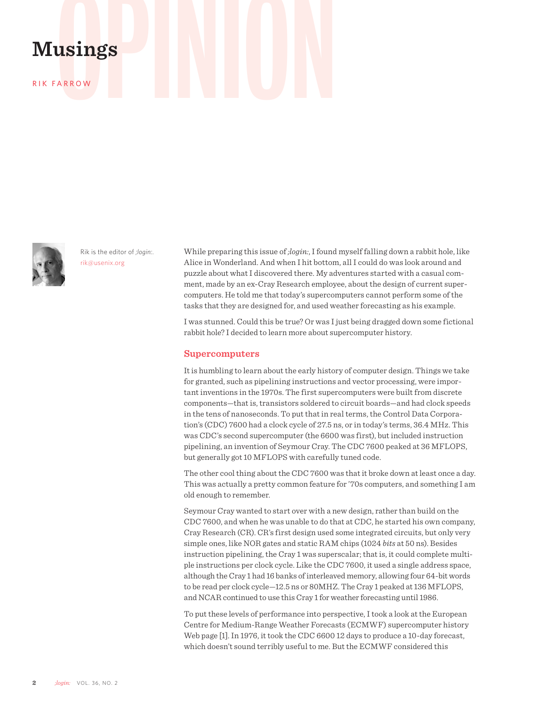# **Musings**<br>RIK FARROW

RIK FARROW



Rik is the editor of *;login:*. rik@usenix.org

While preparing this issue of *;login:*, I found myself falling down a rabbit hole, like Alice in Wonderland. And when I hit bottom, all I could do was look around and puzzle about what I discovered there. My adventures started with a casual comment, made by an ex-Cray Research employee, about the design of current supercomputers. He told me that today's supercomputers cannot perform some of the tasks that they are designed for, and used weather forecasting as his example.

I was stunned. Could this be true? Or was I just being dragged down some fictional rabbit hole? I decided to learn more about supercomputer history.

### **Supercomputers**

It is humbling to learn about the early history of computer design. Things we take for granted, such as pipelining instructions and vector processing, were important inventions in the 1970s. The first supercomputers were built from discrete components—that is, transistors soldered to circuit boards—and had clock speeds in the tens of nanoseconds. To put that in real terms, the Control Data Corporation's (CDC) 7600 had a clock cycle of 27.5 ns, or in today's terms, 36.4 MHz. This was CDC's second supercomputer (the 6600 was first), but included instruction pipelining, an invention of Seymour Cray. The CDC 7600 peaked at 36 MFLOPS, but generally got 10 MFLOPS with carefully tuned code.

The other cool thing about the CDC 7600 was that it broke down at least once a day. This was actually a pretty common feature for '70s computers, and something I am old enough to remember.

Seymour Cray wanted to start over with a new design, rather than build on the CDC 7600, and when he was unable to do that at CDC, he started his own company, Cray Research (CR). CR's first design used some integrated circuits, but only very simple ones, like NOR gates and static RAM chips (1024 *bits* at 50 ns). Besides instruction pipelining, the Cray 1 was superscalar; that is, it could complete multiple instructions per clock cycle. Like the CDC 7600, it used a single address space, although the Cray 1 had 16 banks of interleaved memory, allowing four 64-bit words to be read per clock cycle—12.5 ns or 80MHZ. The Cray 1 peaked at 136 MFLOPS, and NCAR continued to use this Cray 1 for weather forecasting until 1986.

To put these levels of performance into perspective, I took a look at the European Centre for Medium-Range Weather Forecasts (ECMWF) supercomputer history Web page [1]. In 1976, it took the CDC 6600 12 days to produce a 10-day forecast, which doesn't sound terribly useful to me. But the ECMWF considered this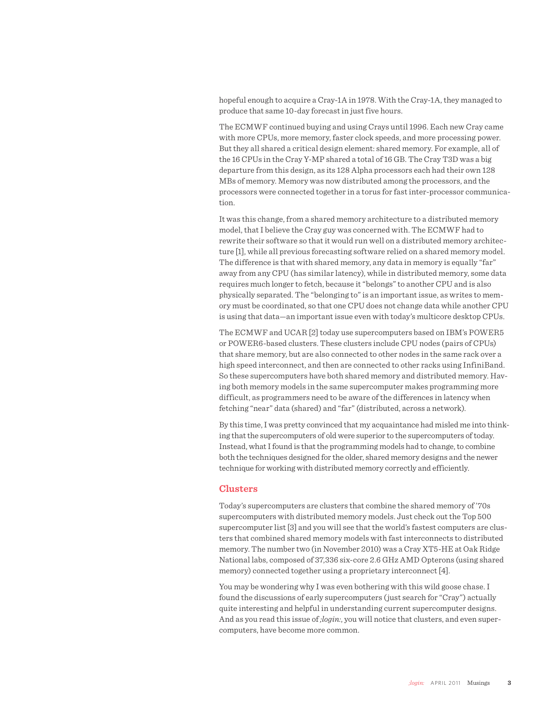hopeful enough to acquire a Cray-1A in 1978. With the Cray-1A, they managed to produce that same 10-day forecast in just five hours.

The ECMWF continued buying and using Crays until 1996. Each new Cray came with more CPUs, more memory, faster clock speeds, and more processing power. But they all shared a critical design element: shared memory. For example, all of the 16 CPUs in the Cray Y-MP shared a total of 16 GB. The Cray T3D was a big departure from this design, as its 128 Alpha processors each had their own 128 MBs of memory. Memory was now distributed among the processors, and the processors were connected together in a torus for fast inter-processor communication.

It was this change, from a shared memory architecture to a distributed memory model, that I believe the Cray guy was concerned with. The ECMWF had to rewrite their software so that it would run well on a distributed memory architecture [1], while all previous forecasting software relied on a shared memory model. The difference is that with shared memory, any data in memory is equally "far" away from any CPU (has similar latency), while in distributed memory, some data requires much longer to fetch, because it "belongs" to another CPU and is also physically separated. The "belonging to" is an important issue, as writes to memory must be coordinated, so that one CPU does not change data while another CPU is using that data—an important issue even with today's multicore desktop CPUs.

The ECMWF and UCAR [2] today use supercomputers based on IBM's POWER5 or POWER6-based clusters. These clusters include CPU nodes (pairs of CPUs) that share memory, but are also connected to other nodes in the same rack over a high speed interconnect, and then are connected to other racks using InfiniBand. So these supercomputers have both shared memory and distributed memory. Having both memory models in the same supercomputer makes programming more difficult, as programmers need to be aware of the differences in latency when fetching "near" data (shared) and "far" (distributed, across a network).

By this time, I was pretty convinced that my acquaintance had misled me into thinking that the supercomputers of old were superior to the supercomputers of today. Instead, what I found is that the programming models had to change, to combine both the techniques designed for the older, shared memory designs and the newer technique for working with distributed memory correctly and efficiently.

### **Clusters**

Today's supercomputers are clusters that combine the shared memory of '70s supercomputers with distributed memory models. Just check out the Top 500 supercomputer list [3] and you will see that the world's fastest computers are clusters that combined shared memory models with fast interconnects to distributed memory. The number two (in November 2010) was a Cray XT5-HE at Oak Ridge National labs, composed of 37,336 six-core 2.6 GHz AMD Opterons (using shared memory) connected together using a proprietary interconnect [4].

You may be wondering why I was even bothering with this wild goose chase. I found the discussions of early supercomputers (just search for "Cray") actually quite interesting and helpful in understanding current supercomputer designs. And as you read this issue of *;login:*, you will notice that clusters, and even supercomputers, have become more common.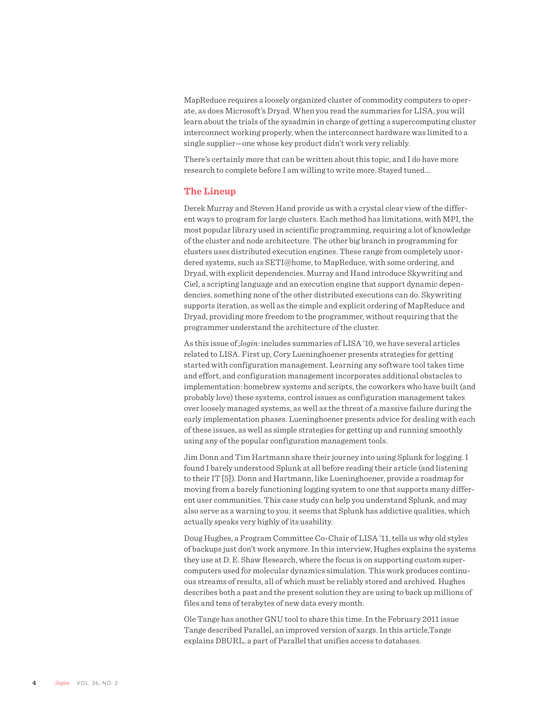MapReduce requires a loosely organized cluster of commodity computers to operate, as does Microsoft's Dryad. When you read the summaries for LISA, you will learn about the trials of the sysadmin in charge of getting a supercomputing cluster interconnect working properly, when the interconnect hardware was limited to a single supplier—one whose key product didn't work very reliably.

There's certainly more that can be written about this topic, and I do have more research to complete before I am willing to write more. Stayed tuned...

# **The Lineup**

Derek Murray and Steven Hand provide us with a crystal clear view of the different ways to program for large clusters. Each method has limitations, with MPI, the most popular library used in scientific programming, requiring a lot of knowledge of the cluster and node architecture. The other big branch in programming for clusters uses distributed execution engines. These range from completely unordered systems, such as SETI@home, to MapReduce, with some ordering, and Dryad, with explicit dependencies. Murray and Hand introduce Skywriting and Ciel, a scripting language and an execution engine that support dynamic dependencies, something none of the other distributed executions can do. Skywriting supports iteration, as well as the simple and explicit ordering of MapReduce and Dryad, providing more freedom to the programmer, without requiring that the programmer understand the architecture of the cluster.

As this issue of *;login:* includes summaries of LISA '10, we have several articles related to LISA. First up, Cory Lueninghoener presents strategies for getting started with configuration management. Learning any software tool takes time and effort, and configuration management incorporates additional obstacles to implementation: homebrew systems and scripts, the coworkers who have built (and probably love) these systems, control issues as configuration management takes over loosely managed systems, as well as the threat of a massive failure during the early implementation phases. Lueninghoener presents advice for dealing with each of these issues, as well as simple strategies for getting up and running smoothly using any of the popular configuration management tools.

Jim Donn and Tim Hartmann share their journey into using Splunk for logging. I found I barely understood Splunk at all before reading their article (and listening to their IT [5]). Donn and Hartmann, like Lueninghoener, provide a roadmap for moving from a barely functioning logging system to one that supports many different user communities. This case study can help you understand Splunk, and may also serve as a warning to you: it seems that Splunk has addictive qualities, which actually speaks very highly of its usability.

Doug Hughes, a Program Committee Co-Chair of LISA '11, tells us why old styles of backups just don't work anymore. In this interview, Hughes explains the systems they use at D. E. Shaw Research, where the focus is on supporting custom supercomputers used for molecular dynamics simulation. This work produces continuous streams of results, all of which must be reliably stored and archived. Hughes describes both a past and the present solution they are using to back up millions of files and tens of terabytes of new data every month.

Ole Tange has another GNU tool to share this time. In the February 2011 issue Tange described Parallel, an improved version of xargs. In this article,Tange explains DBURL, a part of Parallel that unifies access to databases.